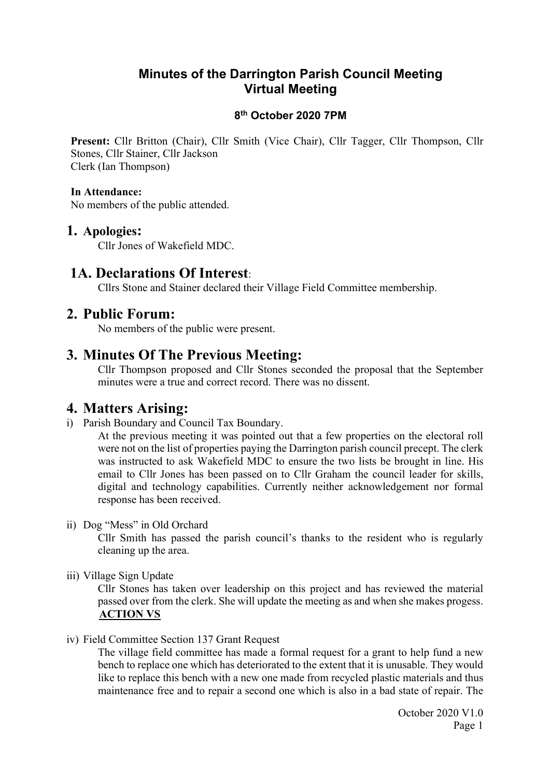## Minutes of the Darrington Parish Council Meeting Virtual Meeting

### 8 th October 2020 7PM

Present: Cllr Britton (Chair), Cllr Smith (Vice Chair), Cllr Tagger, Cllr Thompson, Cllr Stones, Cllr Stainer, Cllr Jackson Clerk (Ian Thompson)

### In Attendance:

No members of the public attended.

### 1. Apologies:

Cllr Jones of Wakefield MDC.

## 1A. Declarations Of Interest:

Cllrs Stone and Stainer declared their Village Field Committee membership.

## 2. Public Forum:

No members of the public were present.

## 3. Minutes Of The Previous Meeting:

Cllr Thompson proposed and Cllr Stones seconded the proposal that the September minutes were a true and correct record. There was no dissent.

## 4. Matters Arising:

i) Parish Boundary and Council Tax Boundary.

At the previous meeting it was pointed out that a few properties on the electoral roll were not on the list of properties paying the Darrington parish council precept. The clerk was instructed to ask Wakefield MDC to ensure the two lists be brought in line. His email to Cllr Jones has been passed on to Cllr Graham the council leader for skills, digital and technology capabilities. Currently neither acknowledgement nor formal response has been received.

ii) Dog "Mess" in Old Orchard

Cllr Smith has passed the parish council's thanks to the resident who is regularly cleaning up the area.

iii) Village Sign Update

Cllr Stones has taken over leadership on this project and has reviewed the material passed over from the clerk. She will update the meeting as and when she makes progess. ACTION VS

iv) Field Committee Section 137 Grant Request

The village field committee has made a formal request for a grant to help fund a new bench to replace one which has deteriorated to the extent that it is unusable. They would like to replace this bench with a new one made from recycled plastic materials and thus maintenance free and to repair a second one which is also in a bad state of repair. The

> October 2020 V1.0 Page 1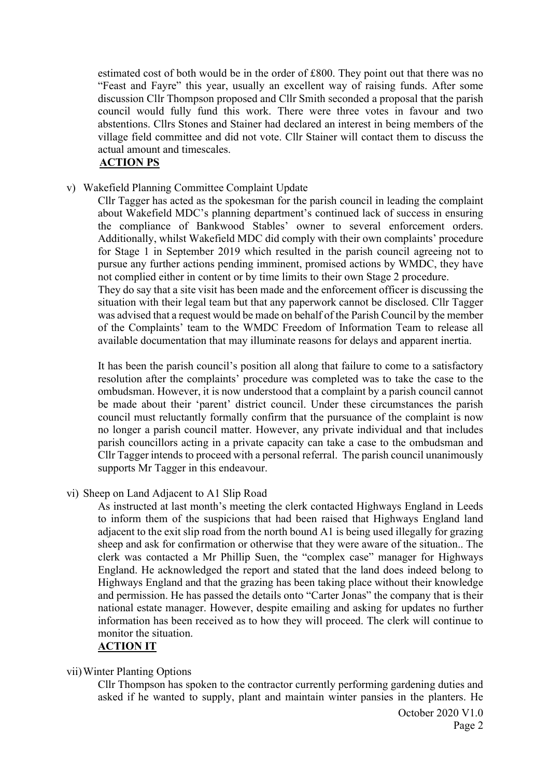estimated cost of both would be in the order of £800. They point out that there was no "Feast and Fayre" this year, usually an excellent way of raising funds. After some discussion Cllr Thompson proposed and Cllr Smith seconded a proposal that the parish council would fully fund this work. There were three votes in favour and two abstentions. Cllrs Stones and Stainer had declared an interest in being members of the village field committee and did not vote. Cllr Stainer will contact them to discuss the actual amount and timescales.

### ACTION PS

v) Wakefield Planning Committee Complaint Update

Cllr Tagger has acted as the spokesman for the parish council in leading the complaint about Wakefield MDC's planning department's continued lack of success in ensuring the compliance of Bankwood Stables' owner to several enforcement orders. Additionally, whilst Wakefield MDC did comply with their own complaints' procedure for Stage 1 in September 2019 which resulted in the parish council agreeing not to pursue any further actions pending imminent, promised actions by WMDC, they have not complied either in content or by time limits to their own Stage 2 procedure. They do say that a site visit has been made and the enforcement officer is discussing the situation with their legal team but that any paperwork cannot be disclosed. Cllr Tagger was advised that a request would be made on behalf of the Parish Council by the member of the Complaints' team to the WMDC Freedom of Information Team to release all available documentation that may illuminate reasons for delays and apparent inertia.

It has been the parish council's position all along that failure to come to a satisfactory resolution after the complaints' procedure was completed was to take the case to the ombudsman. However, it is now understood that a complaint by a parish council cannot be made about their 'parent' district council. Under these circumstances the parish council must reluctantly formally confirm that the pursuance of the complaint is now no longer a parish council matter. However, any private individual and that includes parish councillors acting in a private capacity can take a case to the ombudsman and Cllr Tagger intends to proceed with a personal referral. The parish council unanimously supports Mr Tagger in this endeavour.

vi) Sheep on Land Adjacent to A1 Slip Road

As instructed at last month's meeting the clerk contacted Highways England in Leeds to inform them of the suspicions that had been raised that Highways England land adjacent to the exit slip road from the north bound A1 is being used illegally for grazing sheep and ask for confirmation or otherwise that they were aware of the situation.. The clerk was contacted a Mr Phillip Suen, the "complex case" manager for Highways England. He acknowledged the report and stated that the land does indeed belong to Highways England and that the grazing has been taking place without their knowledge and permission. He has passed the details onto "Carter Jonas" the company that is their national estate manager. However, despite emailing and asking for updates no further information has been received as to how they will proceed. The clerk will continue to monitor the situation.

#### ACTION IT

#### vii)Winter Planting Options

Cllr Thompson has spoken to the contractor currently performing gardening duties and asked if he wanted to supply, plant and maintain winter pansies in the planters. He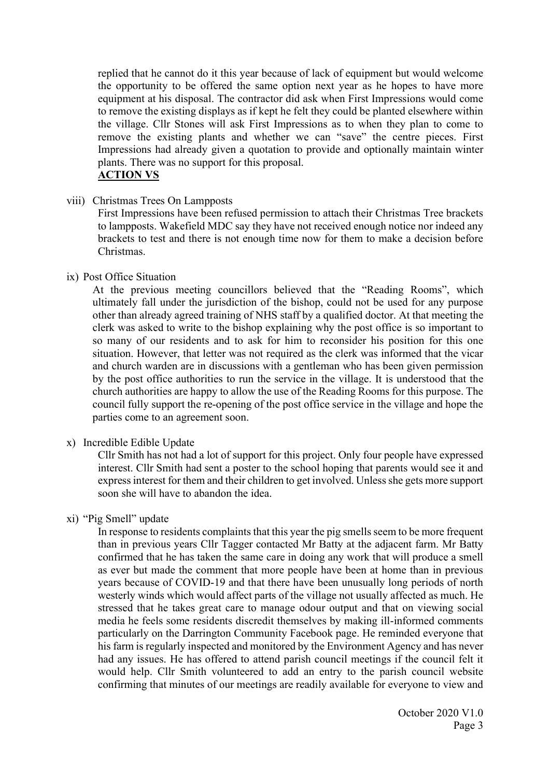replied that he cannot do it this year because of lack of equipment but would welcome the opportunity to be offered the same option next year as he hopes to have more equipment at his disposal. The contractor did ask when First Impressions would come to remove the existing displays as if kept he felt they could be planted elsewhere within the village. Cllr Stones will ask First Impressions as to when they plan to come to remove the existing plants and whether we can "save" the centre pieces. First Impressions had already given a quotation to provide and optionally maintain winter plants. There was no support for this proposal. ACTION VS

#### viii) Christmas Trees On Lampposts

First Impressions have been refused permission to attach their Christmas Tree brackets to lampposts. Wakefield MDC say they have not received enough notice nor indeed any brackets to test and there is not enough time now for them to make a decision before Christmas.

#### ix) Post Office Situation

At the previous meeting councillors believed that the "Reading Rooms", which ultimately fall under the jurisdiction of the bishop, could not be used for any purpose other than already agreed training of NHS staff by a qualified doctor. At that meeting the clerk was asked to write to the bishop explaining why the post office is so important to so many of our residents and to ask for him to reconsider his position for this one situation. However, that letter was not required as the clerk was informed that the vicar and church warden are in discussions with a gentleman who has been given permission by the post office authorities to run the service in the village. It is understood that the church authorities are happy to allow the use of the Reading Rooms for this purpose. The council fully support the re-opening of the post office service in the village and hope the parties come to an agreement soon.

#### x) Incredible Edible Update

Cllr Smith has not had a lot of support for this project. Only four people have expressed interest. Cllr Smith had sent a poster to the school hoping that parents would see it and express interest for them and their children to get involved. Unless she gets more support soon she will have to abandon the idea.

#### xi) "Pig Smell" update

In response to residents complaints that this year the pig smells seem to be more frequent than in previous years Cllr Tagger contacted Mr Batty at the adjacent farm. Mr Batty confirmed that he has taken the same care in doing any work that will produce a smell as ever but made the comment that more people have been at home than in previous years because of COVID-19 and that there have been unusually long periods of north westerly winds which would affect parts of the village not usually affected as much. He stressed that he takes great care to manage odour output and that on viewing social media he feels some residents discredit themselves by making ill-informed comments particularly on the Darrington Community Facebook page. He reminded everyone that his farm is regularly inspected and monitored by the Environment Agency and has never had any issues. He has offered to attend parish council meetings if the council felt it would help. Cllr Smith volunteered to add an entry to the parish council website confirming that minutes of our meetings are readily available for everyone to view and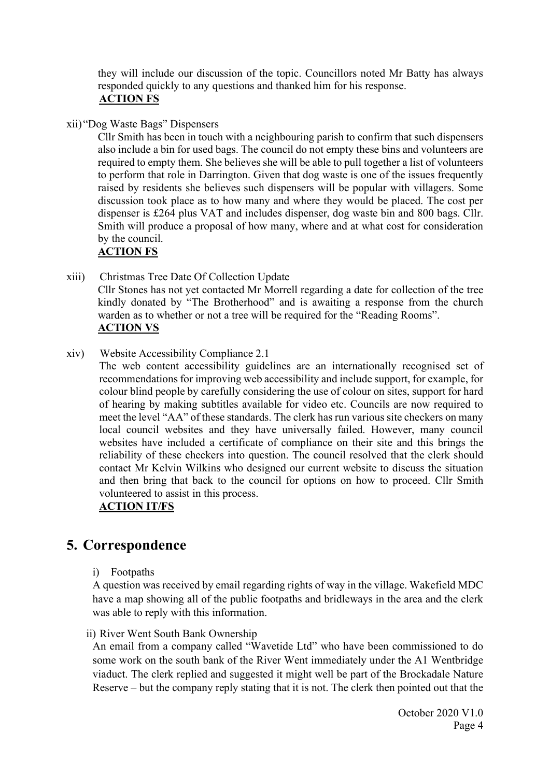they will include our discussion of the topic. Councillors noted Mr Batty has always responded quickly to any questions and thanked him for his response. ACTION FS

xii) "Dog Waste Bags" Dispensers

Cllr Smith has been in touch with a neighbouring parish to confirm that such dispensers also include a bin for used bags. The council do not empty these bins and volunteers are required to empty them. She believes she will be able to pull together a list of volunteers to perform that role in Darrington. Given that dog waste is one of the issues frequently raised by residents she believes such dispensers will be popular with villagers. Some discussion took place as to how many and where they would be placed. The cost per dispenser is £264 plus VAT and includes dispenser, dog waste bin and 800 bags. Cllr. Smith will produce a proposal of how many, where and at what cost for consideration by the council.

### ACTION FS

- xiii) Christmas Tree Date Of Collection Update Cllr Stones has not yet contacted Mr Morrell regarding a date for collection of the tree kindly donated by "The Brotherhood" and is awaiting a response from the church warden as to whether or not a tree will be required for the "Reading Rooms". ACTION VS
- xiv) Website Accessibility Compliance 2.1
	- The web content accessibility guidelines are an internationally recognised set of recommendations for improving web accessibility and include support, for example, for colour blind people by carefully considering the use of colour on sites, support for hard of hearing by making subtitles available for video etc. Councils are now required to meet the level "AA" of these standards. The clerk has run various site checkers on many local council websites and they have universally failed. However, many council websites have included a certificate of compliance on their site and this brings the reliability of these checkers into question. The council resolved that the clerk should contact Mr Kelvin Wilkins who designed our current website to discuss the situation and then bring that back to the council for options on how to proceed. Cllr Smith volunteered to assist in this process.

### ACTION IT/FS

# 5. Correspondence

i) Footpaths

A question was received by email regarding rights of way in the village. Wakefield MDC have a map showing all of the public footpaths and bridleways in the area and the clerk was able to reply with this information.

ii) River Went South Bank Ownership

An email from a company called "Wavetide Ltd" who have been commissioned to do some work on the south bank of the River Went immediately under the A1 Wentbridge viaduct. The clerk replied and suggested it might well be part of the Brockadale Nature Reserve – but the company reply stating that it is not. The clerk then pointed out that the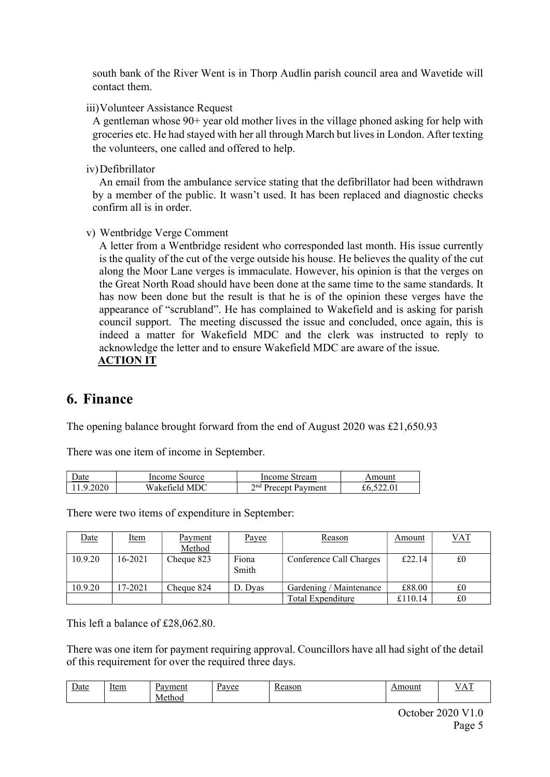south bank of the River Went is in Thorp Audlin parish council area and Wavetide will contact them.

iii)Volunteer Assistance Request

A gentleman whose 90+ year old mother lives in the village phoned asking for help with groceries etc. He had stayed with her all through March but lives in London. After texting the volunteers, one called and offered to help.

iv)Defibrillator

An email from the ambulance service stating that the defibrillator had been withdrawn by a member of the public. It wasn't used. It has been replaced and diagnostic checks confirm all is in order.

v) Wentbridge Verge Comment

A letter from a Wentbridge resident who corresponded last month. His issue currently is the quality of the cut of the verge outside his house. He believes the quality of the cut along the Moor Lane verges is immaculate. However, his opinion is that the verges on the Great North Road should have been done at the same time to the same standards. It has now been done but the result is that he is of the opinion these verges have the appearance of "scrubland". He has complained to Wakefield and is asking for parish council support. The meeting discussed the issue and concluded, once again, this is indeed a matter for Wakefield MDC and the clerk was instructed to reply to acknowledge the letter and to ensure Wakefield MDC are aware of the issue. ACTION IT

## 6. Finance

The opening balance brought forward from the end of August 2020 was £21,650.93

There was one item of income in September.

| <b>Date</b> | Income Source | Income Stream                   | Amount |
|-------------|---------------|---------------------------------|--------|
| 11.9.2020   | Wakefield MDC | 2 <sup>nd</sup> Precept Payment |        |

There were two items of expenditure in September:

| <u>Date</u> | <u>Item</u> | <b>Payment</b><br>Method | Payee          | Reason                  | Amount  | VAT |
|-------------|-------------|--------------------------|----------------|-------------------------|---------|-----|
| 10.9.20     | 16-2021     | Cheque 823               | Fiona<br>Smith | Conference Call Charges | £22.14  | £0  |
| 10.9.20     | 17-2021     | Cheque 824               | D. Dvas        | Gardening / Maintenance | £88.00  | £0  |
|             |             |                          |                | Total Expenditure       | £110.14 | £0  |

This left a balance of £28,062.80.

There was one item for payment requiring approval. Councillors have all had sight of the detail of this requirement for over the required three days.

| $\overline{ }$<br><u>Date</u> | Item<br>and the state of the state of | Payment<br>Method | Pavee | Reason | Amount | œ<br>л<br><u>.</u> |
|-------------------------------|---------------------------------------|-------------------|-------|--------|--------|--------------------|
|                               |                                       |                   |       |        |        |                    |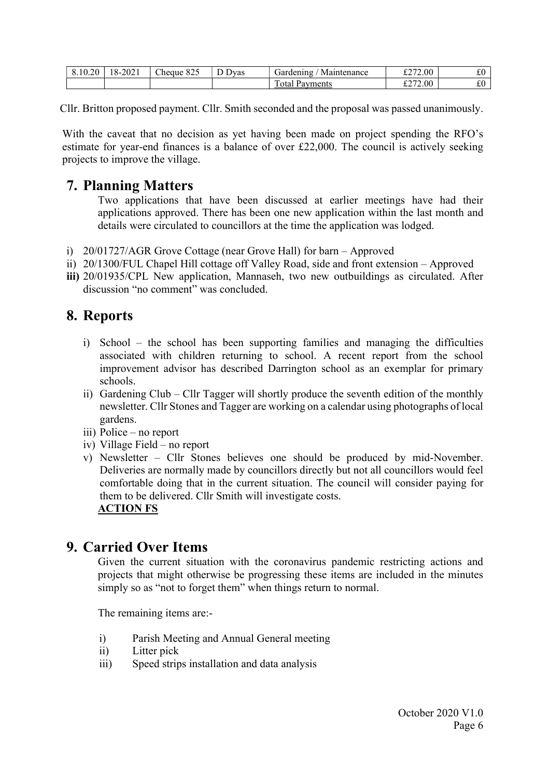| $\circ$<br>.0.20<br>$\cdot$ 0. | $-2021$<br>.x- | $\sim$<br>0.25<br>Cheque<br>$\sim$ 04. | $\sqrt{ }$<br>D<br>Jvas | Gardening<br>Maintenance | /2.00<br>0.772<br>ا سەر            | $\sim$<br>んい  |
|--------------------------------|----------------|----------------------------------------|-------------------------|--------------------------|------------------------------------|---------------|
|                                |                |                                        |                         | Payments<br>otal         | 2.00 <sub>1</sub><br>0.77<br>ا سەر | $\sim$<br>s v |

Cllr. Britton proposed payment. Cllr. Smith seconded and the proposal was passed unanimously.

With the caveat that no decision as yet having been made on project spending the RFO's estimate for year-end finances is a balance of over £22,000. The council is actively seeking projects to improve the village.

# 7. Planning Matters

Two applications that have been discussed at earlier meetings have had their applications approved. There has been one new application within the last month and details were circulated to councillors at the time the application was lodged.

- i) 20/01727/AGR Grove Cottage (near Grove Hall) for barn Approved
- ii) 20/1300/FUL Chapel Hill cottage off Valley Road, side and front extension Approved
- iii) 20/01935/CPL New application, Mannaseh, two new outbuildings as circulated. After discussion "no comment" was concluded

# 8. Reports

- i) School the school has been supporting families and managing the difficulties associated with children returning to school. A recent report from the school improvement advisor has described Darrington school as an exemplar for primary schools.
- ii) Gardening Club Cllr Tagger will shortly produce the seventh edition of the monthly newsletter. Cllr Stones and Tagger are working on a calendar using photographs of local gardens.
- iii) Police no report
- iv) Village Field no report
- v) Newsletter Cllr Stones believes one should be produced by mid-November. Deliveries are normally made by councillors directly but not all councillors would feel comfortable doing that in the current situation. The council will consider paying for them to be delivered. Cllr Smith will investigate costs. ACTION FS

## 9. Carried Over Items

Given the current situation with the coronavirus pandemic restricting actions and projects that might otherwise be progressing these items are included in the minutes simply so as "not to forget them" when things return to normal.

The remaining items are:-

- i) Parish Meeting and Annual General meeting
- ii) Litter pick
- iii) Speed strips installation and data analysis